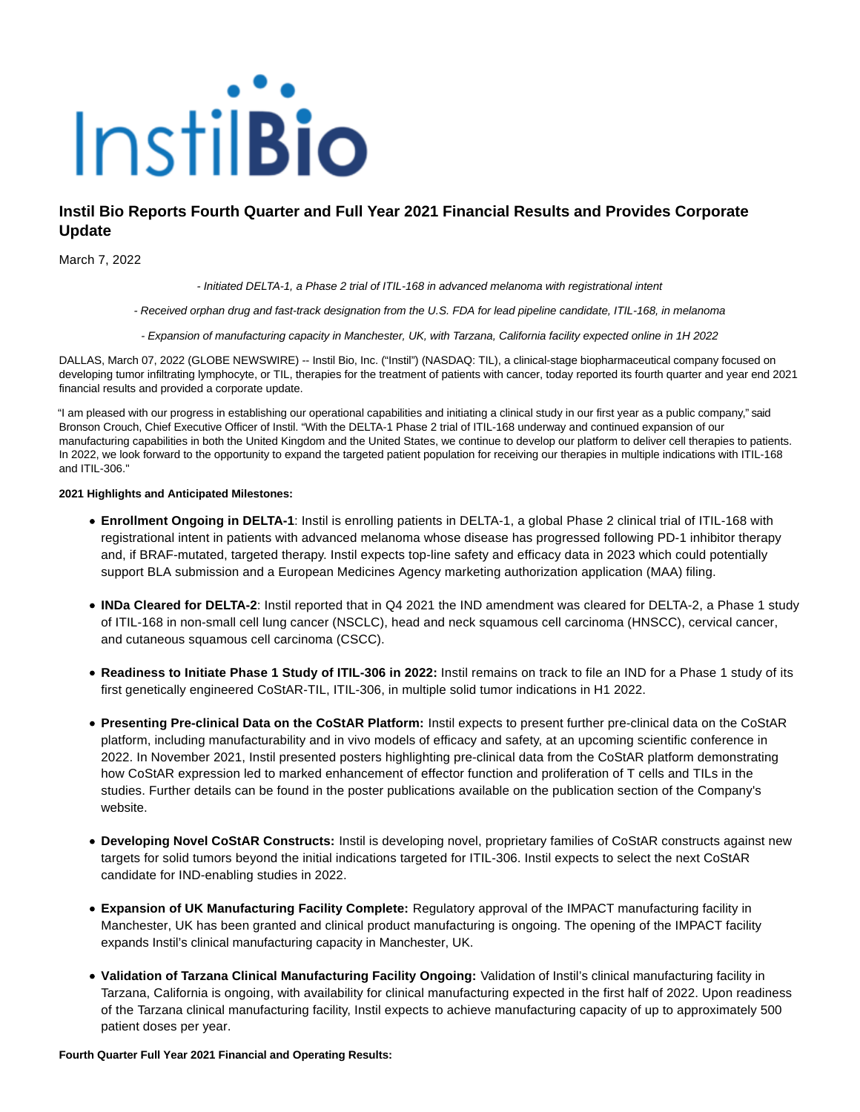

# **Instil Bio Reports Fourth Quarter and Full Year 2021 Financial Results and Provides Corporate Update**

March 7, 2022

- Initiated DELTA-1, a Phase 2 trial of ITIL-168 in advanced melanoma with registrational intent

- Received orphan drug and fast-track designation from the U.S. FDA for lead pipeline candidate, ITIL-168, in melanoma

- Expansion of manufacturing capacity in Manchester, UK, with Tarzana, California facility expected online in 1H 2022

DALLAS, March 07, 2022 (GLOBE NEWSWIRE) -- Instil Bio, Inc. ("Instil") (NASDAQ: TIL), a clinical-stage biopharmaceutical company focused on developing tumor infiltrating lymphocyte, or TIL, therapies for the treatment of patients with cancer, today reported its fourth quarter and year end 2021 financial results and provided a corporate update.

"I am pleased with our progress in establishing our operational capabilities and initiating a clinical study in our first year as a public company," said Bronson Crouch, Chief Executive Officer of Instil. "With the DELTA-1 Phase 2 trial of ITIL-168 underway and continued expansion of our manufacturing capabilities in both the United Kingdom and the United States, we continue to develop our platform to deliver cell therapies to patients. In 2022, we look forward to the opportunity to expand the targeted patient population for receiving our therapies in multiple indications with ITIL-168 and ITIL-306."

### **2021 Highlights and Anticipated Milestones:**

- **Enrollment Ongoing in DELTA-1**: Instil is enrolling patients in DELTA-1, a global Phase 2 clinical trial of ITIL-168 with registrational intent in patients with advanced melanoma whose disease has progressed following PD-1 inhibitor therapy and, if BRAF-mutated, targeted therapy. Instil expects top-line safety and efficacy data in 2023 which could potentially support BLA submission and a European Medicines Agency marketing authorization application (MAA) filing.
- **INDa Cleared for DELTA-2**: Instil reported that in Q4 2021 the IND amendment was cleared for DELTA-2, a Phase 1 study of ITIL-168 in non-small cell lung cancer (NSCLC), head and neck squamous cell carcinoma (HNSCC), cervical cancer, and cutaneous squamous cell carcinoma (CSCC).
- **Readiness to Initiate Phase 1 Study of ITIL-306 in 2022:** Instil remains on track to file an IND for a Phase 1 study of its first genetically engineered CoStAR-TIL, ITIL-306, in multiple solid tumor indications in H1 2022.
- **Presenting Pre-clinical Data on the CoStAR Platform:** Instil expects to present further pre-clinical data on the CoStAR platform, including manufacturability and in vivo models of efficacy and safety, at an upcoming scientific conference in 2022. In November 2021, Instil presented posters highlighting pre-clinical data from the CoStAR platform demonstrating how CoStAR expression led to marked enhancement of effector function and proliferation of T cells and TILs in the studies. Further details can be found in the poster publications available on the publication section of the Company's website.
- **Developing Novel CoStAR Constructs:** Instil is developing novel, proprietary families of CoStAR constructs against new targets for solid tumors beyond the initial indications targeted for ITIL-306. Instil expects to select the next CoStAR candidate for IND-enabling studies in 2022.
- **Expansion of UK Manufacturing Facility Complete:** Regulatory approval of the IMPACT manufacturing facility in Manchester, UK has been granted and clinical product manufacturing is ongoing. The opening of the IMPACT facility expands Instil's clinical manufacturing capacity in Manchester, UK.
- **Validation of Tarzana Clinical Manufacturing Facility Ongoing:** Validation of Instil's clinical manufacturing facility in Tarzana, California is ongoing, with availability for clinical manufacturing expected in the first half of 2022. Upon readiness of the Tarzana clinical manufacturing facility, Instil expects to achieve manufacturing capacity of up to approximately 500 patient doses per year.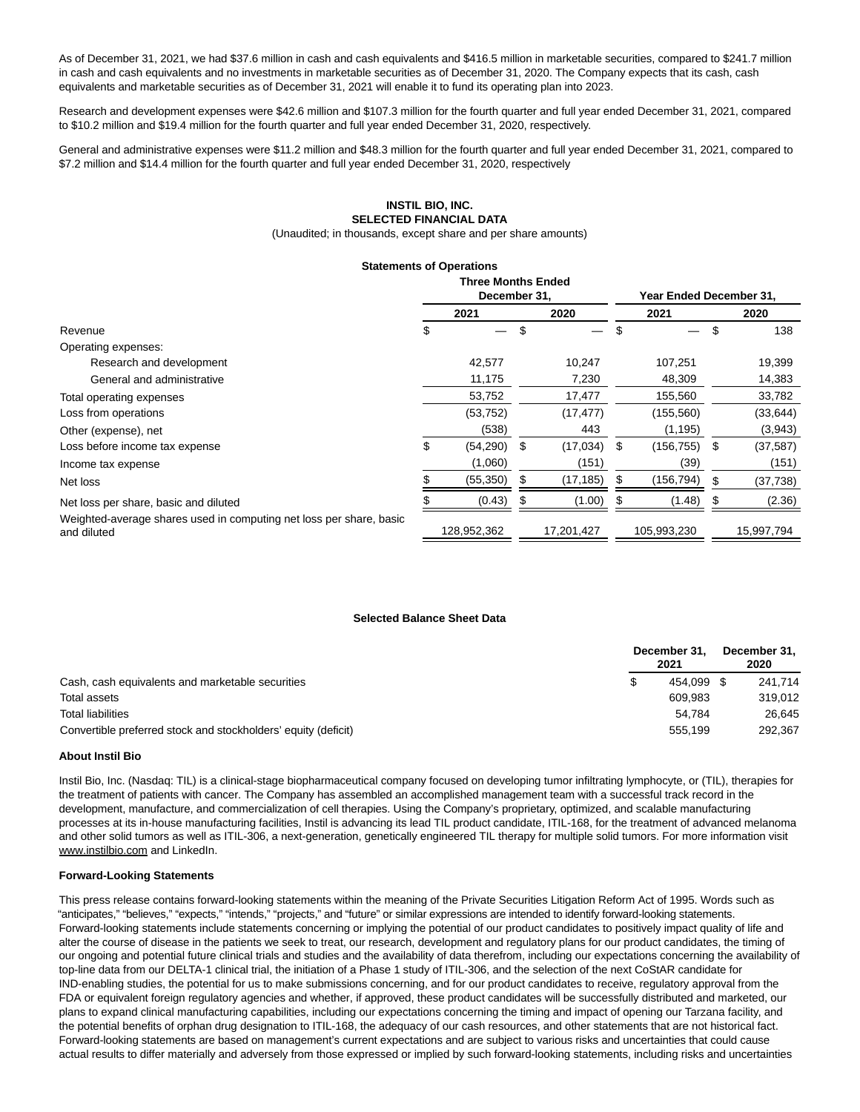As of December 31, 2021, we had \$37.6 million in cash and cash equivalents and \$416.5 million in marketable securities, compared to \$241.7 million in cash and cash equivalents and no investments in marketable securities as of December 31, 2020. The Company expects that its cash, cash equivalents and marketable securities as of December 31, 2021 will enable it to fund its operating plan into 2023.

Research and development expenses were \$42.6 million and \$107.3 million for the fourth quarter and full year ended December 31, 2021, compared to \$10.2 million and \$19.4 million for the fourth quarter and full year ended December 31, 2020, respectively.

General and administrative expenses were \$11.2 million and \$48.3 million for the fourth quarter and full year ended December 31, 2021, compared to \$7.2 million and \$14.4 million for the fourth quarter and full year ended December 31, 2020, respectively

## **INSTIL BIO, INC. SELECTED FINANCIAL DATA**

(Unaudited; in thousands, except share and per share amounts)

#### **Statements of Operations**

|                                                                                    | <b>Three Months Ended</b><br>December 31. |             |    |            |    | <b>Year Ended December 31.</b> |     |            |  |
|------------------------------------------------------------------------------------|-------------------------------------------|-------------|----|------------|----|--------------------------------|-----|------------|--|
|                                                                                    |                                           | 2021        |    | 2020       |    | 2021                           |     | 2020       |  |
| Revenue                                                                            |                                           |             | \$ |            |    |                                | \$  | 138        |  |
| Operating expenses:                                                                |                                           |             |    |            |    |                                |     |            |  |
| Research and development                                                           |                                           | 42,577      |    | 10,247     |    | 107,251                        |     | 19,399     |  |
| General and administrative                                                         |                                           | 11,175      |    | 7,230      |    | 48,309                         |     | 14,383     |  |
| Total operating expenses                                                           |                                           | 53,752      |    | 17,477     |    | 155,560                        |     | 33,782     |  |
| Loss from operations                                                               |                                           | (53, 752)   |    | (17, 477)  |    | (155, 560)                     |     | (33, 644)  |  |
| Other (expense), net                                                               |                                           | (538)       |    | 443        |    | (1, 195)                       |     | (3,943)    |  |
| Loss before income tax expense                                                     | \$                                        | (54, 290)   | \$ | (17, 034)  | -S | (156, 755)                     | S   | (37, 587)  |  |
| Income tax expense                                                                 |                                           | (1,060)     |    | (151)      |    | (39)                           |     | (151)      |  |
| Net loss                                                                           |                                           | (55, 350)   |    | (17, 185)  |    | (156,794)                      | \$  | (37, 738)  |  |
| Net loss per share, basic and diluted                                              |                                           | (0.43)      |    | (1.00)     |    | (1.48)                         | \$. | (2.36)     |  |
| Weighted-average shares used in computing net loss per share, basic<br>and diluted |                                           | 128,952,362 |    | 17,201,427 |    | 105,993,230                    |     | 15,997,794 |  |

#### **Selected Balance Sheet Data**

|                                                                | December 31,<br>2021 |         |  | December 31,<br>2020 |  |  |
|----------------------------------------------------------------|----------------------|---------|--|----------------------|--|--|
| Cash, cash equivalents and marketable securities               |                      | 454.099 |  | 241.714              |  |  |
| Total assets                                                   |                      | 609.983 |  | 319.012              |  |  |
| <b>Total liabilities</b>                                       |                      | 54.784  |  | 26.645               |  |  |
| Convertible preferred stock and stockholders' equity (deficit) |                      | 555.199 |  | 292,367              |  |  |

#### **About Instil Bio**

Instil Bio, Inc. (Nasdaq: TIL) is a clinical-stage biopharmaceutical company focused on developing tumor infiltrating lymphocyte, or (TIL), therapies for the treatment of patients with cancer. The Company has assembled an accomplished management team with a successful track record in the development, manufacture, and commercialization of cell therapies. Using the Company's proprietary, optimized, and scalable manufacturing processes at its in-house manufacturing facilities, Instil is advancing its lead TIL product candidate, ITIL-168, for the treatment of advanced melanoma and other solid tumors as well as ITIL-306, a next-generation, genetically engineered TIL therapy for multiple solid tumors. For more information visit www.instilbio.com and LinkedIn.

#### **Forward-Looking Statements**

This press release contains forward-looking statements within the meaning of the Private Securities Litigation Reform Act of 1995. Words such as "anticipates," "believes," "expects," "intends," "projects," and "future" or similar expressions are intended to identify forward-looking statements. Forward-looking statements include statements concerning or implying the potential of our product candidates to positively impact quality of life and alter the course of disease in the patients we seek to treat, our research, development and regulatory plans for our product candidates, the timing of our ongoing and potential future clinical trials and studies and the availability of data therefrom, including our expectations concerning the availability of top-line data from our DELTA-1 clinical trial, the initiation of a Phase 1 study of ITIL-306, and the selection of the next CoStAR candidate for IND-enabling studies, the potential for us to make submissions concerning, and for our product candidates to receive, regulatory approval from the FDA or equivalent foreign regulatory agencies and whether, if approved, these product candidates will be successfully distributed and marketed, our plans to expand clinical manufacturing capabilities, including our expectations concerning the timing and impact of opening our Tarzana facility, and the potential benefits of orphan drug designation to ITIL-168, the adequacy of our cash resources, and other statements that are not historical fact. Forward-looking statements are based on management's current expectations and are subject to various risks and uncertainties that could cause actual results to differ materially and adversely from those expressed or implied by such forward-looking statements, including risks and uncertainties